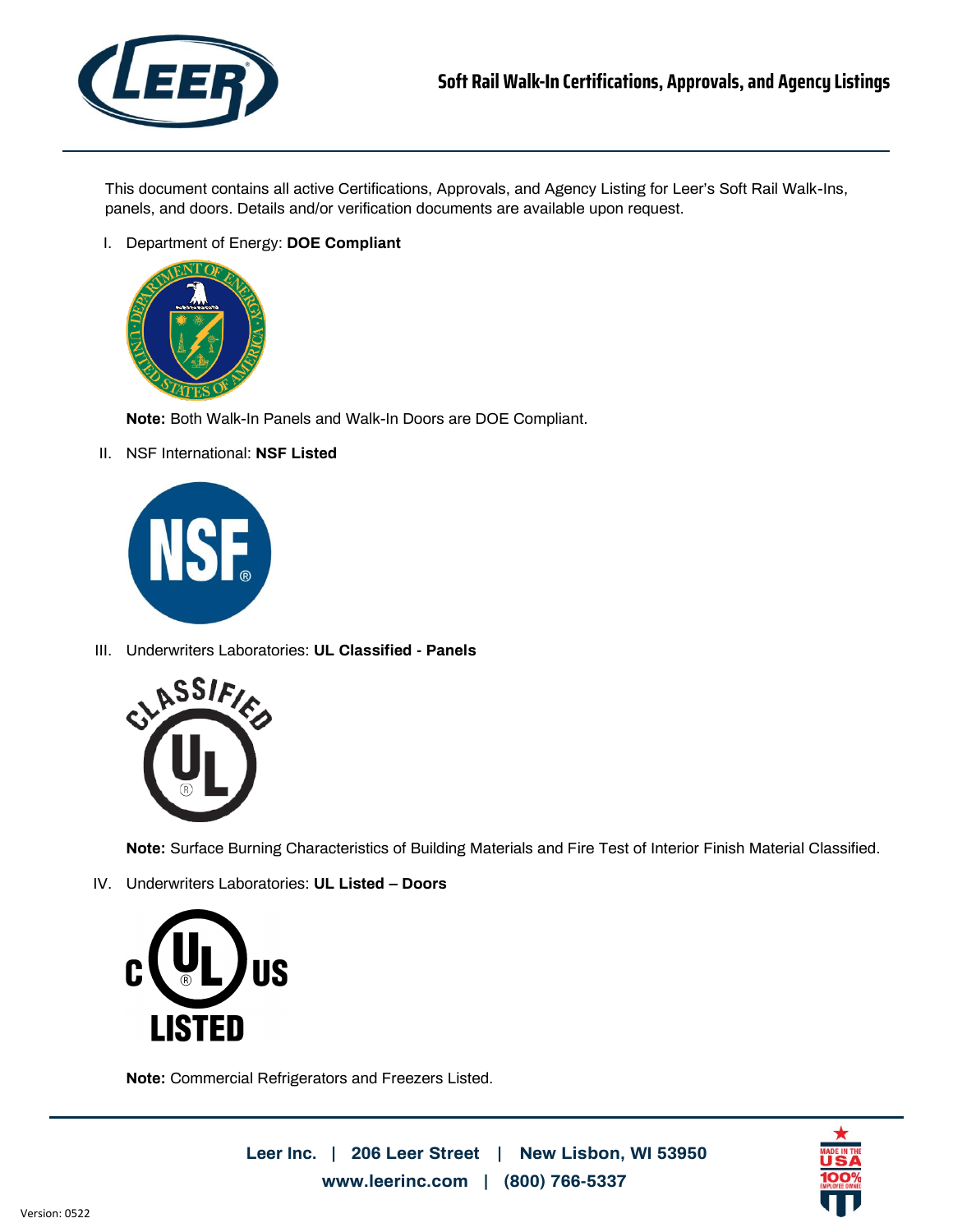

This document contains all active Certifications, Approvals, and Agency Listing for Leer's Soft Rail Walk-Ins, panels, and doors. Details and/or verification documents are available upon request.

I. Department of Energy: **DOE Compliant**



**Note:** Both Walk-In Panels and Walk-In Doors are DOE Compliant.

II. NSF International: **NSF Listed**



III. Underwriters Laboratories: **UL Classified - Panels**



**Note:** Surface Burning Characteristics of Building Materials and Fire Test of Interior Finish Material Classified.

IV. Underwriters Laboratories: **UL Listed – Doors**



**Note:** Commercial Refrigerators and Freezers Listed.

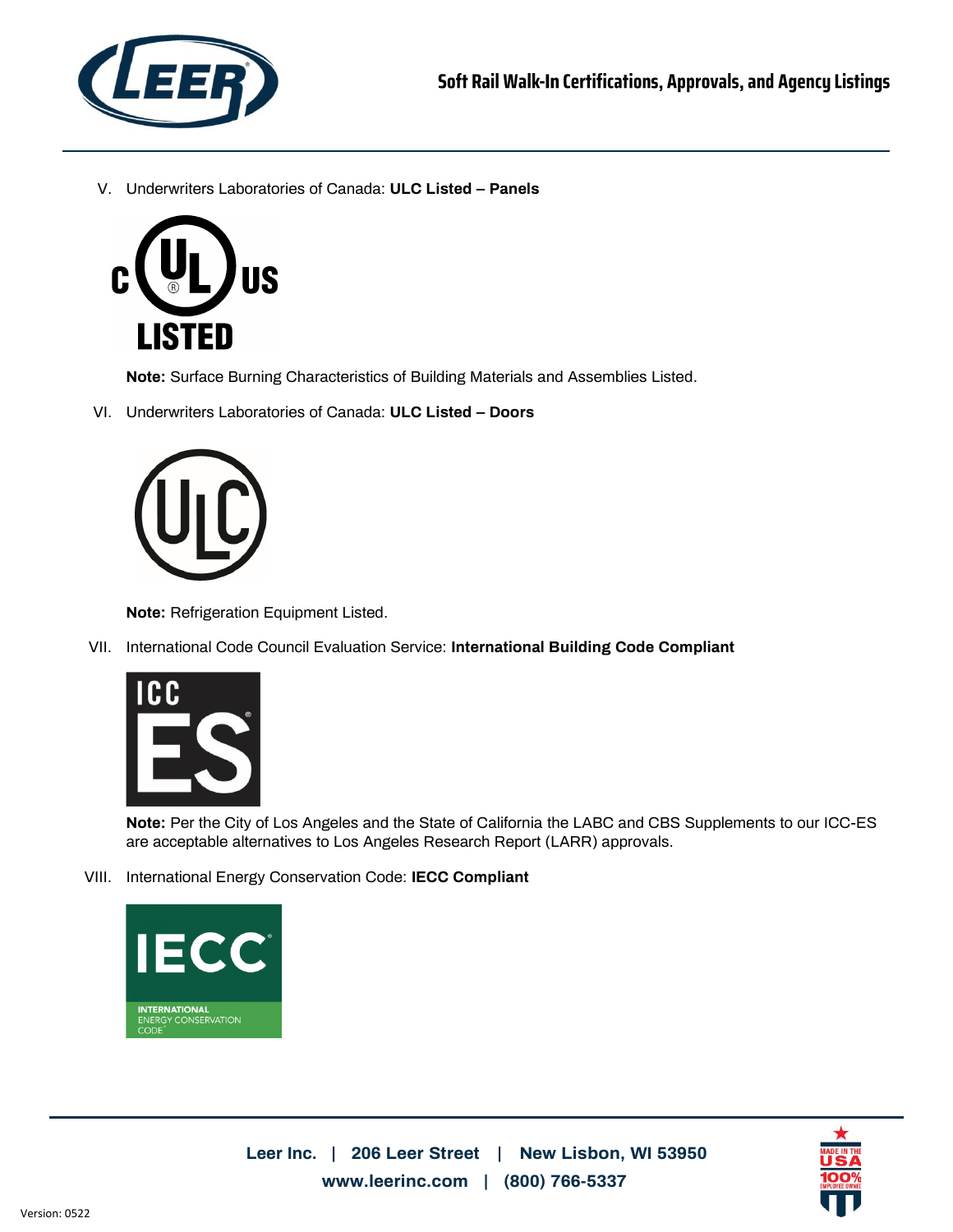

V. Underwriters Laboratories of Canada: **ULC Listed – Panels**



**Note:** Surface Burning Characteristics of Building Materials and Assemblies Listed.

VI. Underwriters Laboratories of Canada: **ULC Listed – Doors**



**Note:** Refrigeration Equipment Listed.

VII. International Code Council Evaluation Service: **International Building Code Compliant**



**Note:** Per the City of Los Angeles and the State of California the LABC and CBS Supplements to our ICC-ES are acceptable alternatives to Los Angeles Research Report (LARR) approvals.

VIII. International Energy Conservation Code: **IECC Compliant**



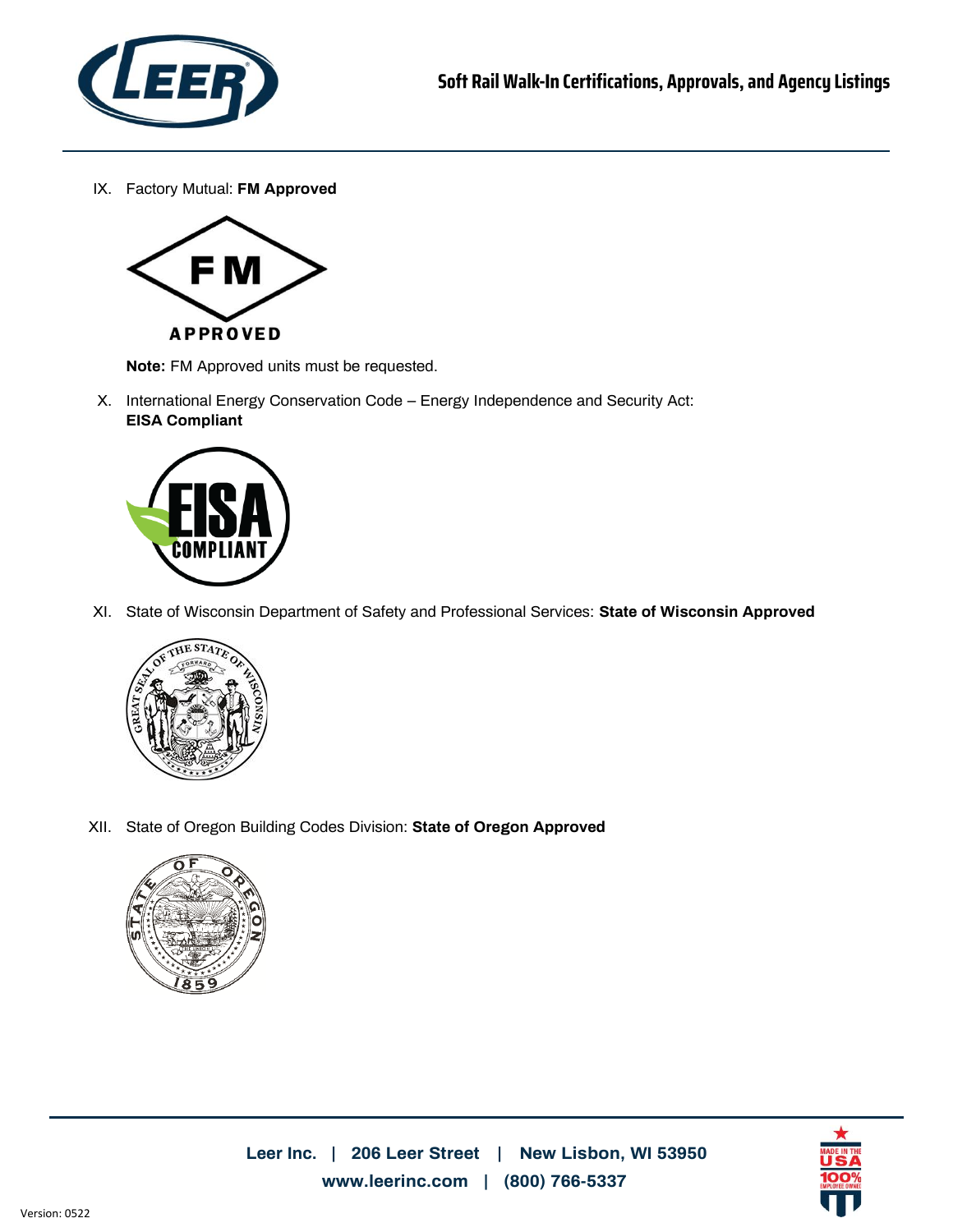

IX. Factory Mutual: **FM Approved**



**Note:** FM Approved units must be requested.

X. International Energy Conservation Code – Energy Independence and Security Act: **EISA Compliant**



XI. State of Wisconsin Department of Safety and Professional Services: **State of Wisconsin Approved**



XII. State of Oregon Building Codes Division: **State of Oregon Approved**



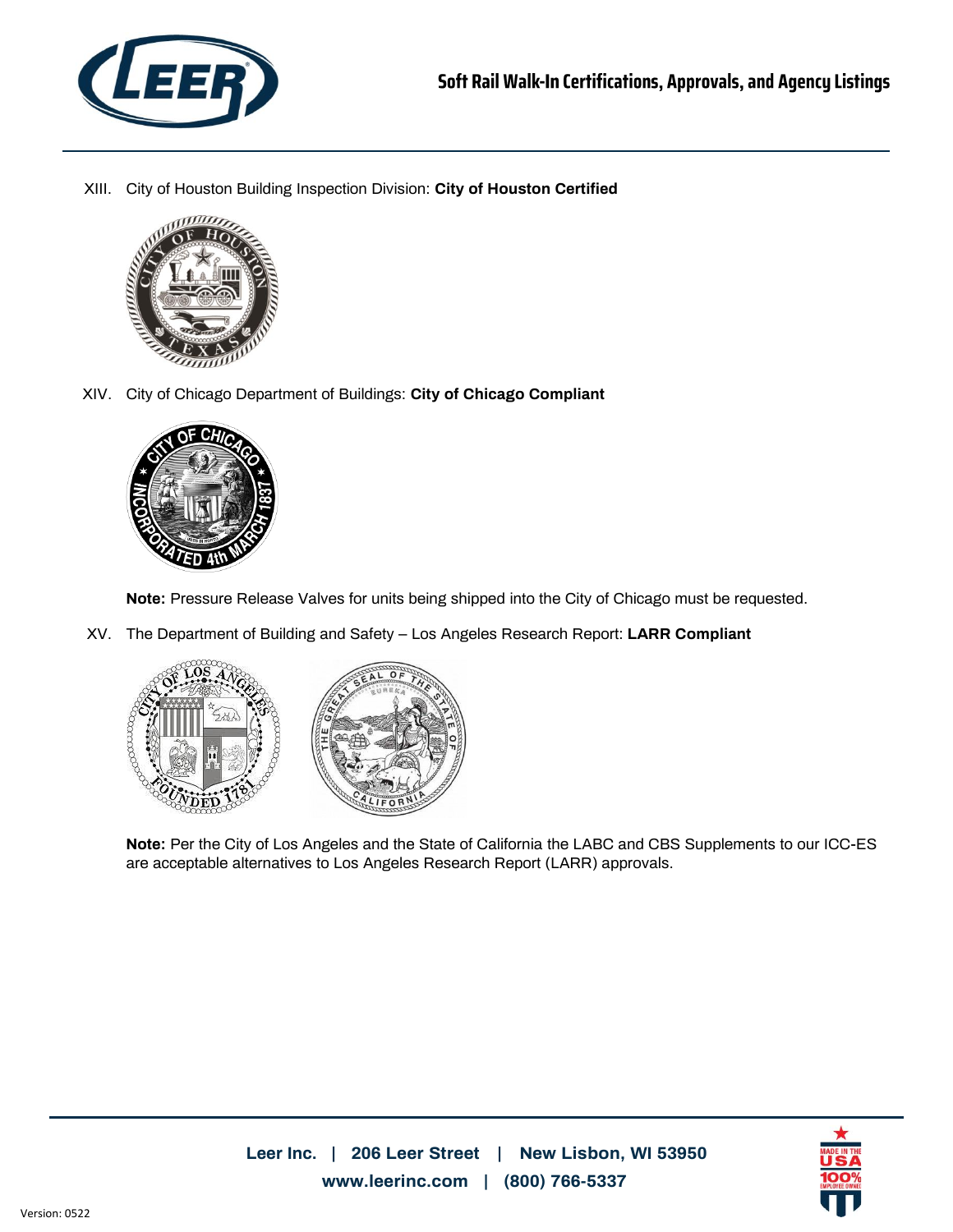

XIII. City of Houston Building Inspection Division: **City of Houston Certified**



XIV. City of Chicago Department of Buildings: **City of Chicago Compliant**



**Note:** Pressure Release Valves for units being shipped into the City of Chicago must be requested.

XV. The Department of Building and Safety – Los Angeles Research Report: **LARR Compliant**



**Note:** Per the City of Los Angeles and the State of California the LABC and CBS Supplements to our ICC-ES are acceptable alternatives to Los Angeles Research Report (LARR) approvals.